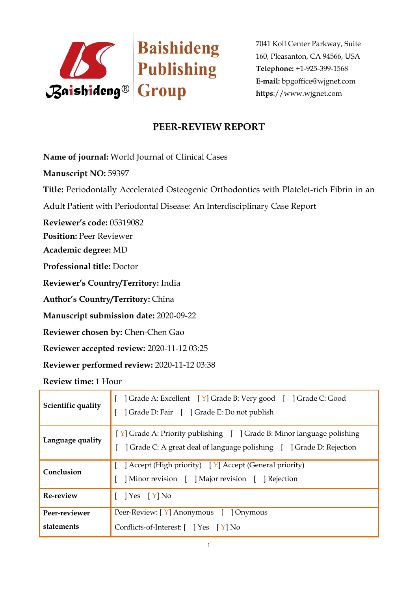

7041 Koll Center Parkway, Suite 160, Pleasanton, CA 94566, USA **Telephone:** +1-925-399-1568 **E-mail:** bpgoffice@wjgnet.com **https**://www.wjgnet.com

## **PEER-REVIEW REPORT**

**Name of journal:** World Journal of Clinical Cases

**Manuscript NO:** 59397

**Title:** Periodontally Accelerated Osteogenic Orthodontics with Platelet-rich Fibrin in an

Adult Patient with Periodontal Disease: An Interdisciplinary Case Report

**Reviewer's code:** 05319082

**Position:** Peer Reviewer

**Academic degree:** MD

**Professional title:** Doctor

**Reviewer's Country/Territory:** India

**Author's Country/Territory:** China

**Manuscript submission date:** 2020-09-22

**Reviewer chosen by:** Chen-Chen Gao

**Reviewer accepted review:** 2020-11-12 03:25

**Reviewer performed review:** 2020-11-12 03:38

**Review time:** 1 Hour

| Scientific quality          | [ ] Grade A: Excellent [ Y] Grade B: Very good [ ] Grade C: Good<br>  Grade D: Fair   Grade E: Do not publish                                  |
|-----------------------------|------------------------------------------------------------------------------------------------------------------------------------------------|
| Language quality            | [Y] Grade A: Priority publishing [ ] Grade B: Minor language polishing<br>] Grade C: A great deal of language polishing [ ] Grade D: Rejection |
| Conclusion                  | [ ] Accept (High priority) [ Y] Accept (General priority)<br>Minor revision [ ] Major revision [ ] Rejection                                   |
| <b>Re-review</b>            | $[$   Yes $[Y]$ No                                                                                                                             |
| Peer-reviewer<br>statements | Peer-Review: [Y] Anonymous [ ] Onymous<br>Conflicts-of-Interest: [ ] Yes [Y] No                                                                |